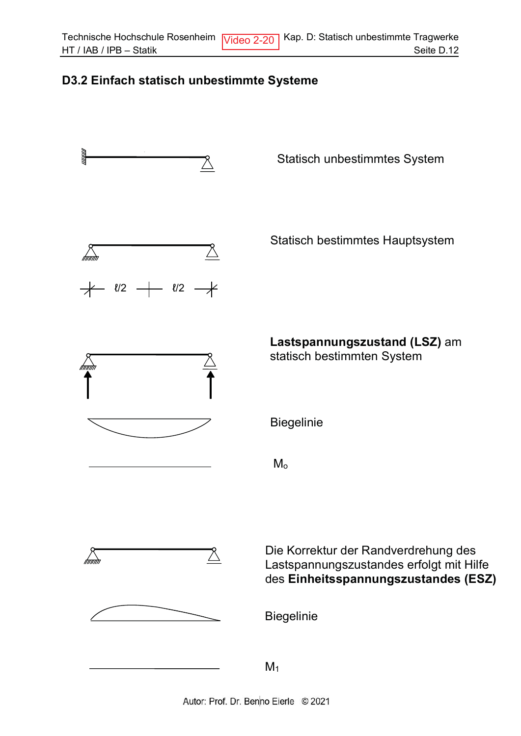## D3.2 Einfach statisch unbestimmte Systeme

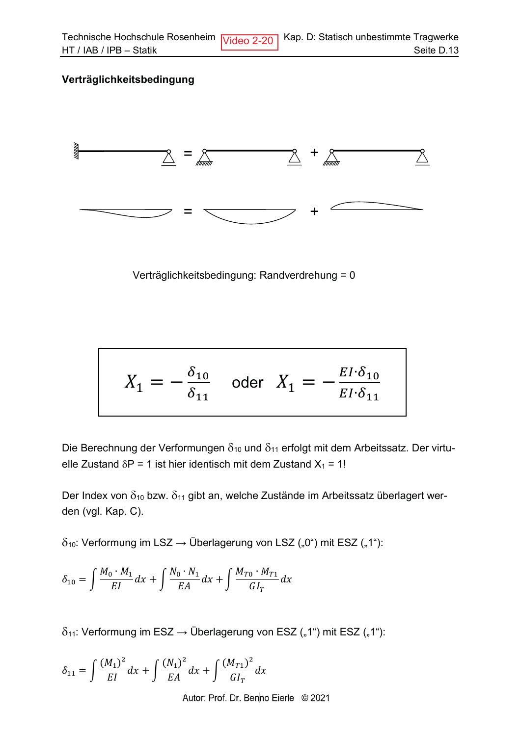## Verträglichkeitsbedingung



Verträglichkeitsbedingung: Randverdrehung = 0

$$
X_1 = -\frac{\delta_{10}}{\delta_{11}} \quad \text{oder} \quad X_1 = -\frac{EI \cdot \delta_{10}}{EI \cdot \delta_{11}}
$$

Die Berechnung der Verformungen  $\delta_{10}$  und  $\delta_{11}$  erfolgt mit dem Arbeitssatz. Der virtuelle Zustand  $\delta P = 1$  ist hier identisch mit dem Zustand  $X_1 = 1!$ 

Der Index von  $\delta_{10}$  bzw.  $\delta_{11}$  gibt an, welche Zustände im Arbeitssatz überlagert werden (vgl. Kap. C).

 $\delta_{10}$ : Verformung im LSZ  $\rightarrow$  Überlagerung von LSZ ("0") mit ESZ ("1"):

$$
\delta_{10}=\int \frac{M_0\cdot M_1}{EI}dx+\int \frac{N_0\cdot N_1}{EA}dx+\int \frac{M_{T0}\cdot M_{T1}}{GI_T}dx
$$

 $\delta_{11}$ : Verformung im ESZ  $\rightarrow$  Überlagerung von ESZ ("1") mit ESZ ("1"):

$$
\delta_{11} = \int \frac{(M_1)^2}{EI} dx + \int \frac{(N_1)^2}{EA} dx + \int \frac{(M_{T1})^2}{GI_T} dx
$$

Autor: Prof. Dr. Benno Eierle © 2021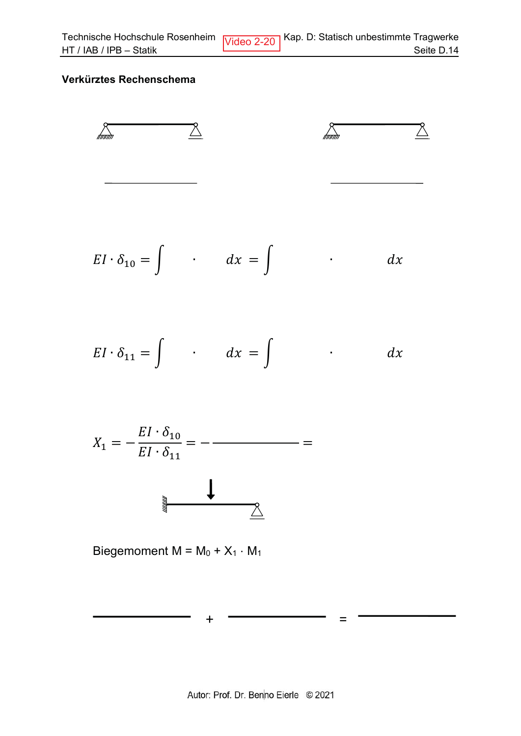## Verkürztes Rechenschema



$$
EI \cdot \delta_{10} = \int \cdot dx = \int \cdot dx
$$

$$
EI \cdot \delta_{11} = \int \cdot dx = \int \cdot dx
$$

$$
X_1 = -\frac{EI \cdot \delta_{10}}{EI \cdot \delta_{11}} = -\frac{1}{\delta_{11} \cdot \delta_{11}} = -\frac{1}{\delta_{11} \cdot \delta_{11}} = -\frac{1}{\delta_{11} \cdot \delta_{11}} = -\frac{1}{\delta_{11} \cdot \delta_{11}} = -\frac{1}{\delta_{11} \cdot \delta_{11}} = -\frac{1}{\delta_{11} \cdot \delta_{11}} = -\frac{1}{\delta_{11} \cdot \delta_{11}} = -\frac{1}{\delta_{11} \cdot \delta_{11}} = -\frac{1}{\delta_{11} \cdot \delta_{11}} = -\frac{1}{\delta_{11} \cdot \delta_{11}} = -\frac{1}{\delta_{11} \cdot \delta_{11}} = -\frac{1}{\delta_{11} \cdot \delta_{11}} = -\frac{1}{\delta_{11} \cdot \delta_{11}} = -\frac{1}{\delta_{11} \cdot \delta_{11}} = -\frac{1}{\delta_{11} \cdot \delta_{11}} = -\frac{1}{\delta_{11} \cdot \delta_{11}} = -\frac{1}{\delta_{11} \cdot \delta_{11}} = -\frac{1}{\delta_{11} \cdot \delta_{11}} = -\frac{1}{\delta_{11} \cdot \delta_{11}} = -\frac{1}{\delta_{11} \cdot \delta_{11}} = -\frac{1}{\delta_{11} \cdot \delta_{11}} = -\frac{1}{\delta_{11} \cdot \delta_{11}} = -\frac{1}{\delta_{11} \cdot \delta_{11}} = -\frac{1}{\delta_{11} \cdot \delta_{11}} = -\frac{1}{\delta_{11} \cdot \delta_{11}} = -\frac{1}{\delta_{11} \cdot \delta_{11}} = -\frac{1}{\delta_{11} \cdot \delta_{11}} = -\frac{1}{\delta_{11} \cdot \delta_{11}} = -\frac{1}{\delta_{11} \cdot \delta_{11} \cdot \delta_{11}} = -\frac{1}{\delta_{11} \cdot \delta_{11} \cdot \delta_{11} \cdot \delta_{11} \cdot \delta_{11} \cdot \delta_{11} \cdot \delta_{11} \cdot \delta_{11} \cdot \delta_{11} \cdot \delta_{11} \cdot \delta_{11} \cdot \delta_{11} \cdot \delta_{11} \cdot \delta_{1
$$



 $\ddot{}$ 

Biegemoment  $M = M_0 + X_1 \cdot M_1$ 

 $\qquad \qquad =$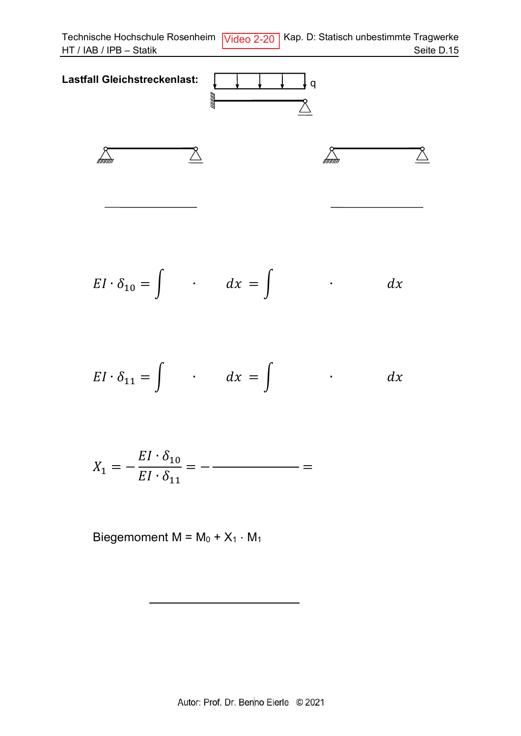Technische Hochschule Rosenheim Video 2-20 | Kap. D: Statisch unbestimmte Tragwerke HT / IAB / IPB - Statik Seite D.15



$$
EI \cdot \delta_{10} = \int \cdot dx = \int \cdot dx
$$

$$
EI \cdot \delta_{11} = \int \cdot dx = \int \cdot dx
$$

$$
X_1 = -\frac{EI \cdot \delta_{10}}{EI \cdot \delta_{11}} = -
$$

Biegemoment  $M = M_0 + X_1 \cdot M_1$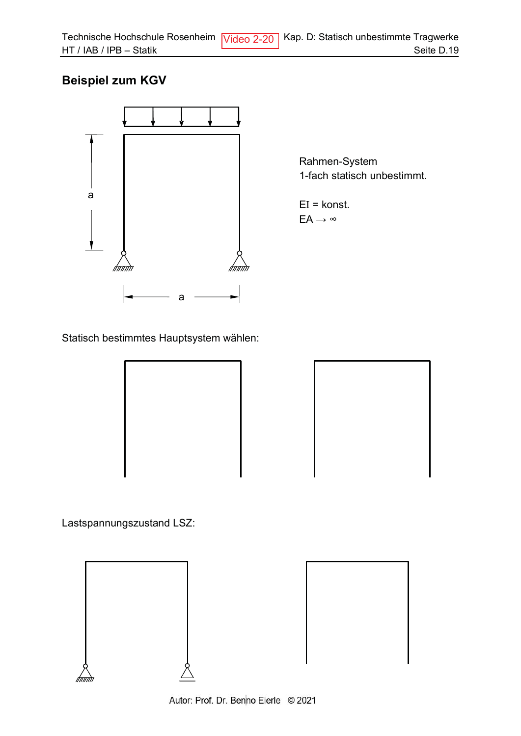## **Beispiel zum KGV**



Rahmen-System 1-fach statisch unbestimmt.

 $EI =$ konst.  $EA \rightarrow \infty$ 

Statisch bestimmtes Hauptsystem wählen:





Lastspannungszustand LSZ:



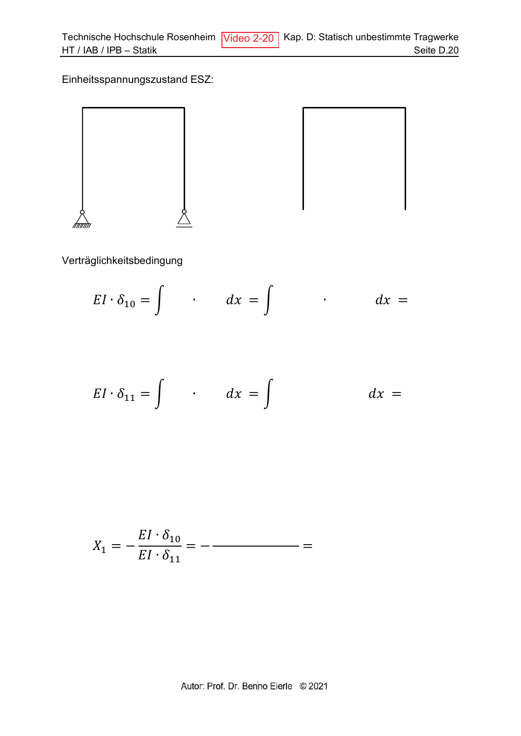Einheitsspannungszustand ESZ:



Verträglichkeitsbedingung

$$
EI \cdot \delta_{10} = \int \qquad dx = \int \qquad dx =
$$

$$
EI \cdot \delta_{11} = \int \qquad dx = \int \qquad dx =
$$

$$
X_1 = -\frac{EI \cdot \delta_{10}}{EI \cdot \delta_{11}} = -\frac{1}{\delta_{11}} = -\frac{1}{\delta_{11}} = -\frac{1}{\delta_{11}} = -\frac{1}{\delta_{11}} = -\frac{1}{\delta_{11}} = -\frac{1}{\delta_{11}} = -\frac{1}{\delta_{11}} = -\frac{1}{\delta_{11}} = -\frac{1}{\delta_{11}} = -\frac{1}{\delta_{11}} = -\frac{1}{\delta_{11}} = -\frac{1}{\delta_{11}} = -\frac{1}{\delta_{11}} = -\frac{1}{\delta_{11}} = -\frac{1}{\delta_{11}} = -\frac{1}{\delta_{11}} = -\frac{1}{\delta_{11}} = -\frac{1}{\delta_{11}} = -\frac{1}{\delta_{11}} = -\frac{1}{\delta_{11}} = -\frac{1}{\delta_{11}} = -\frac{1}{\delta_{11}} = -\frac{1}{\delta_{11}} = -\frac{1}{\delta_{11}} = -\frac{1}{\delta_{11}} = -\frac{1}{\delta_{11}} = -\frac{1}{\delta_{11}} = -\frac{1}{\delta_{11}} = -\frac{1}{\delta_{11}} = -\frac{1}{\delta_{11}} = -\frac{1}{\delta_{11}} = -\frac{1}{\delta_{11}} = -\frac{1}{\delta_{11}} = -\frac{1}{\delta_{11}} = -\frac{1}{\delta_{11}} = -\frac{1}{\delta_{11}} = -\frac{1}{\delta_{11}} = -\frac{1}{\delta_{11}} = -\frac{1}{\delta_{11}} = -\frac{1}{\delta_{11}} = -\frac{1}{\delta_{11}} = -\frac{1}{\delta_{11}} = -\frac{1}{\delta_{11}} = -\frac{1}{\delta_{11}} = -\frac{1}{\delta_{11}} = -\frac{1}{\delta_{11}} = -\frac{1}{\delta_{11}} = -\frac{1}{\delta_{11}} = -\frac{1}{\delta_{11}} = -\frac{1}{\delta_{11}} = -\frac{1}{\delta_{11}} = -\frac{1}{\delta_{11}} = -\frac{1}{\delta_{11}} = -\frac{1}{\delta_{11}} = -\frac{1}{\delta_{11}} = -\frac{1}{\delta_{11}} = -\frac
$$